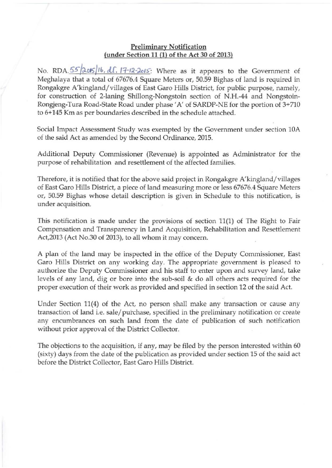## Preliminary Notification (under Section 11 (l) of the Act 30 of 2013)

No. RDA. 55<sup>2015</sup>/16, dl. 17-12-2015: Where as it appears to the Government of Meghalaya that a total of 67676.4 Square Meters or, 50.59 Bighas of land is required in Rongakgre A'kingland/villages of East Garo Hills District, for public purpose, namely, for construction of 2-laning Shillong-Nongstoin section of N.H.44 and Nongstoin-Rongjeng-Tura Road -State Road under phase' A' of SARDP-NE for the portion of 3+710 to 6+145 Km as per boundaries described in the schedule attached .

Social Impact Assessment Study was exempted by the Government under section 10A of the said Act as amended by the Second Ordinance, 2015.

Additional Deputy Commissioner (Revenue) is appointed as Administrator for the purpose of rehabilitation and resettlement of the affected families.

Therefore, it is notified that for the above said project in Rongakgre A'kingland/ villages of East Garo Hills District, a piece of land measuring more or less 67676.4 Square Meters or, 50.59 Bighas whose detail description is given in Schedule to this notification, is under acquisition.

This notification is made under the provisions of section 11(1) of The Right to Fair Compensation and Transparency in Land Acquisition, Rehabilitation and Resettlement Act,2013 (Act No.30 of 2013), to all whom it may concern.

A plan of the land may be inspected in the office of the Deputy Commissioner, East Garo Hills District on any working day. The appropriate government is pleased to authorize the Deputy Commissioner and his staff to enter upon and survey land, take levels of any land, dig or bore into the sub-soil & do all others acts required for the proper execution of their work as provided and specified in section 12 of the said Act.

Under Section 11(4) of the Act, no person shall make any transaction or cause any transaction of land i.e. sale/ purchase, specified in the preliminary notification or create any encumbrances on such land from the date of publication of such notification without prior approval of the District Collector.

The objections to the acquisition, if any, may be filed by the person interested within 60 (sixty) days from the date of the publication as provided under section 15 of the said act before the District Collector, East Care Hills District.